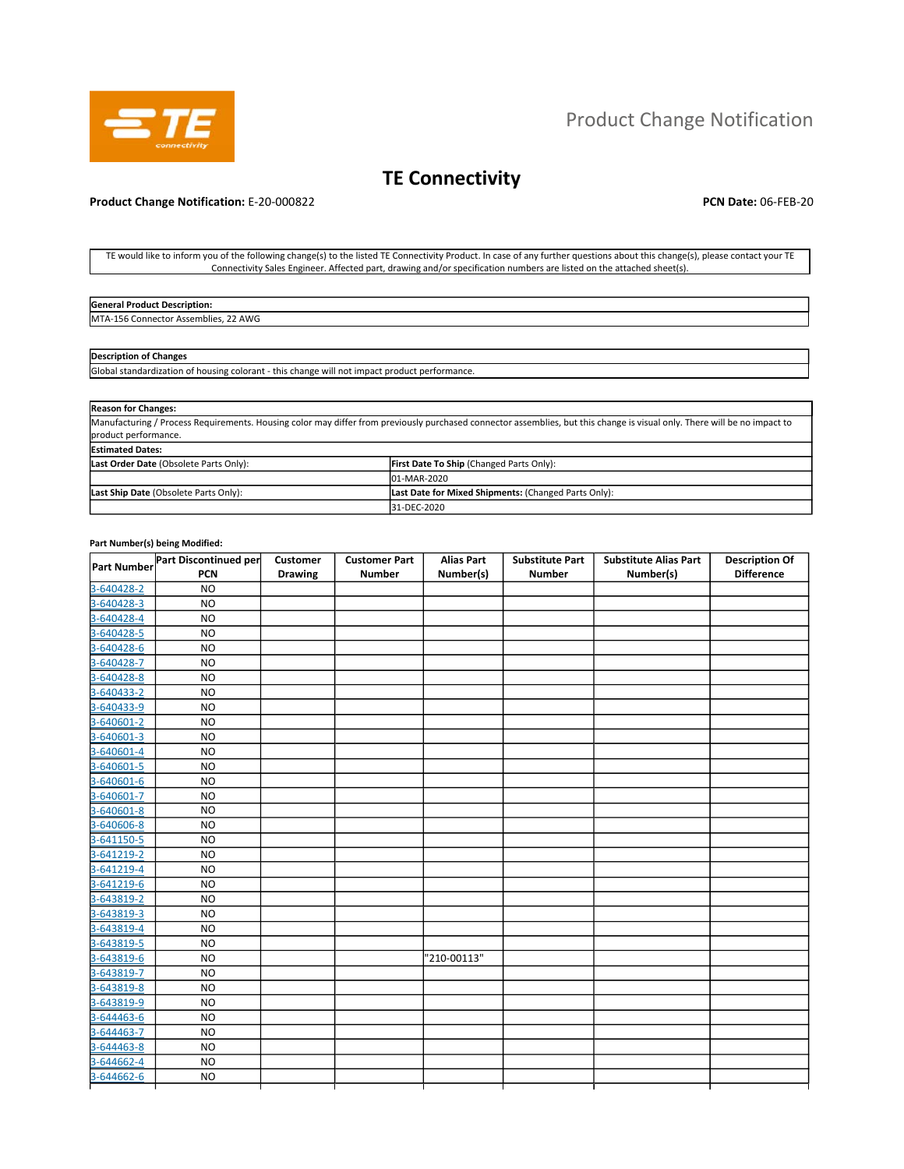

# Product Change Notification

# **TE Connectivity**

## **Product Change Notification:** E-20-000822 **PCN Date:** 06-FEB-20

TE would like to inform you of the following change(s) to the listed TE Connectivity Product. In case of any further questions about this change(s), please contact your TE Connectivity Sales Engineer. Affected part, drawing and/or specification numbers are listed on the attached sheet(s).

| <b>General Product Description:</b>             |  |
|-------------------------------------------------|--|
| MTA-:<br>22 AWG<br>`Assemblies.<br>ww.connector |  |

## **Description of Changes**

Global standardization of housing colorant - this change will not impact product performance.

| <b>Reason for Changes:</b>                                                                                                                                                |                                                      |  |  |  |  |  |  |  |
|---------------------------------------------------------------------------------------------------------------------------------------------------------------------------|------------------------------------------------------|--|--|--|--|--|--|--|
| Manufacturing / Process Requirements. Housing color may differ from previously purchased connector assemblies, but this change is visual only. There will be no impact to |                                                      |  |  |  |  |  |  |  |
| product performance.                                                                                                                                                      |                                                      |  |  |  |  |  |  |  |
| <b>Estimated Dates:</b>                                                                                                                                                   |                                                      |  |  |  |  |  |  |  |
| Last Order Date (Obsolete Parts Only):                                                                                                                                    | First Date To Ship (Changed Parts Only):             |  |  |  |  |  |  |  |
|                                                                                                                                                                           | 01-MAR-2020                                          |  |  |  |  |  |  |  |
| Last Ship Date (Obsolete Parts Only):                                                                                                                                     | Last Date for Mixed Shipments: (Changed Parts Only): |  |  |  |  |  |  |  |
|                                                                                                                                                                           | 31-DEC-2020                                          |  |  |  |  |  |  |  |

| <b>Difference</b><br>Drawing<br><b>Number</b><br>Number(s)<br><b>Number</b><br>Number(s)<br><b>PCN</b><br><b>NO</b><br><b>NO</b><br><b>NO</b><br><b>NO</b><br><b>NO</b><br><b>NO</b><br><b>NO</b><br><b>NO</b><br><b>NO</b><br><b>NO</b><br><b>NO</b><br><b>NO</b><br><b>NO</b><br><b>NO</b><br><b>NO</b><br><b>NO</b><br><b>NO</b><br><b>NO</b><br><b>NO</b><br><b>NO</b><br><b>NO</b><br><b>NO</b><br><b>NO</b><br><b>NO</b><br><b>NO</b><br>"210-00113"<br><b>NO</b><br><b>NO</b><br><b>NO</b><br><b>NO</b><br><b>NO</b><br><b>NO</b><br><b>NO</b><br><b>NO</b><br><b>NO</b> |             | Part Discontinued per | Customer | <b>Customer Part</b> | <b>Alias Part</b> | <b>Substitute Part</b> | <b>Substitute Alias Part</b> | <b>Description Of</b> |
|---------------------------------------------------------------------------------------------------------------------------------------------------------------------------------------------------------------------------------------------------------------------------------------------------------------------------------------------------------------------------------------------------------------------------------------------------------------------------------------------------------------------------------------------------------------------------------|-------------|-----------------------|----------|----------------------|-------------------|------------------------|------------------------------|-----------------------|
|                                                                                                                                                                                                                                                                                                                                                                                                                                                                                                                                                                                 | Part Number |                       |          |                      |                   |                        |                              |                       |
|                                                                                                                                                                                                                                                                                                                                                                                                                                                                                                                                                                                 | 3-640428-2  |                       |          |                      |                   |                        |                              |                       |
|                                                                                                                                                                                                                                                                                                                                                                                                                                                                                                                                                                                 | 3-640428-3  |                       |          |                      |                   |                        |                              |                       |
|                                                                                                                                                                                                                                                                                                                                                                                                                                                                                                                                                                                 | 3-640428-4  |                       |          |                      |                   |                        |                              |                       |
|                                                                                                                                                                                                                                                                                                                                                                                                                                                                                                                                                                                 | 3-640428-5  |                       |          |                      |                   |                        |                              |                       |
|                                                                                                                                                                                                                                                                                                                                                                                                                                                                                                                                                                                 | 3-640428-6  |                       |          |                      |                   |                        |                              |                       |
|                                                                                                                                                                                                                                                                                                                                                                                                                                                                                                                                                                                 | 3-640428-7  |                       |          |                      |                   |                        |                              |                       |
|                                                                                                                                                                                                                                                                                                                                                                                                                                                                                                                                                                                 | 3-640428-8  |                       |          |                      |                   |                        |                              |                       |
|                                                                                                                                                                                                                                                                                                                                                                                                                                                                                                                                                                                 | 3-640433-2  |                       |          |                      |                   |                        |                              |                       |
|                                                                                                                                                                                                                                                                                                                                                                                                                                                                                                                                                                                 | 3-640433-9  |                       |          |                      |                   |                        |                              |                       |
|                                                                                                                                                                                                                                                                                                                                                                                                                                                                                                                                                                                 | 3-640601-2  |                       |          |                      |                   |                        |                              |                       |
|                                                                                                                                                                                                                                                                                                                                                                                                                                                                                                                                                                                 | 3-640601-3  |                       |          |                      |                   |                        |                              |                       |
|                                                                                                                                                                                                                                                                                                                                                                                                                                                                                                                                                                                 | 3-640601-4  |                       |          |                      |                   |                        |                              |                       |
|                                                                                                                                                                                                                                                                                                                                                                                                                                                                                                                                                                                 | 3-640601-5  |                       |          |                      |                   |                        |                              |                       |
|                                                                                                                                                                                                                                                                                                                                                                                                                                                                                                                                                                                 | 3-640601-6  |                       |          |                      |                   |                        |                              |                       |
|                                                                                                                                                                                                                                                                                                                                                                                                                                                                                                                                                                                 | 3-640601-7  |                       |          |                      |                   |                        |                              |                       |
|                                                                                                                                                                                                                                                                                                                                                                                                                                                                                                                                                                                 | 3-640601-8  |                       |          |                      |                   |                        |                              |                       |
|                                                                                                                                                                                                                                                                                                                                                                                                                                                                                                                                                                                 | 3-640606-8  |                       |          |                      |                   |                        |                              |                       |
|                                                                                                                                                                                                                                                                                                                                                                                                                                                                                                                                                                                 | 3-641150-5  |                       |          |                      |                   |                        |                              |                       |
|                                                                                                                                                                                                                                                                                                                                                                                                                                                                                                                                                                                 | 3-641219-2  |                       |          |                      |                   |                        |                              |                       |
|                                                                                                                                                                                                                                                                                                                                                                                                                                                                                                                                                                                 | 3-641219-4  |                       |          |                      |                   |                        |                              |                       |
|                                                                                                                                                                                                                                                                                                                                                                                                                                                                                                                                                                                 | 3-641219-6  |                       |          |                      |                   |                        |                              |                       |
|                                                                                                                                                                                                                                                                                                                                                                                                                                                                                                                                                                                 | 3-643819-2  |                       |          |                      |                   |                        |                              |                       |
|                                                                                                                                                                                                                                                                                                                                                                                                                                                                                                                                                                                 | 3-643819-3  |                       |          |                      |                   |                        |                              |                       |
|                                                                                                                                                                                                                                                                                                                                                                                                                                                                                                                                                                                 | 3-643819-4  |                       |          |                      |                   |                        |                              |                       |
|                                                                                                                                                                                                                                                                                                                                                                                                                                                                                                                                                                                 | 3-643819-5  |                       |          |                      |                   |                        |                              |                       |
|                                                                                                                                                                                                                                                                                                                                                                                                                                                                                                                                                                                 | 3-643819-6  |                       |          |                      |                   |                        |                              |                       |
|                                                                                                                                                                                                                                                                                                                                                                                                                                                                                                                                                                                 | 3-643819-7  |                       |          |                      |                   |                        |                              |                       |
|                                                                                                                                                                                                                                                                                                                                                                                                                                                                                                                                                                                 | 3-643819-8  |                       |          |                      |                   |                        |                              |                       |
|                                                                                                                                                                                                                                                                                                                                                                                                                                                                                                                                                                                 | 3-643819-9  |                       |          |                      |                   |                        |                              |                       |
|                                                                                                                                                                                                                                                                                                                                                                                                                                                                                                                                                                                 | 3-644463-6  |                       |          |                      |                   |                        |                              |                       |
|                                                                                                                                                                                                                                                                                                                                                                                                                                                                                                                                                                                 | 3-644463-7  |                       |          |                      |                   |                        |                              |                       |
|                                                                                                                                                                                                                                                                                                                                                                                                                                                                                                                                                                                 | 3-644463-8  |                       |          |                      |                   |                        |                              |                       |
|                                                                                                                                                                                                                                                                                                                                                                                                                                                                                                                                                                                 | 3-644662-4  |                       |          |                      |                   |                        |                              |                       |
|                                                                                                                                                                                                                                                                                                                                                                                                                                                                                                                                                                                 | 3-644662-6  |                       |          |                      |                   |                        |                              |                       |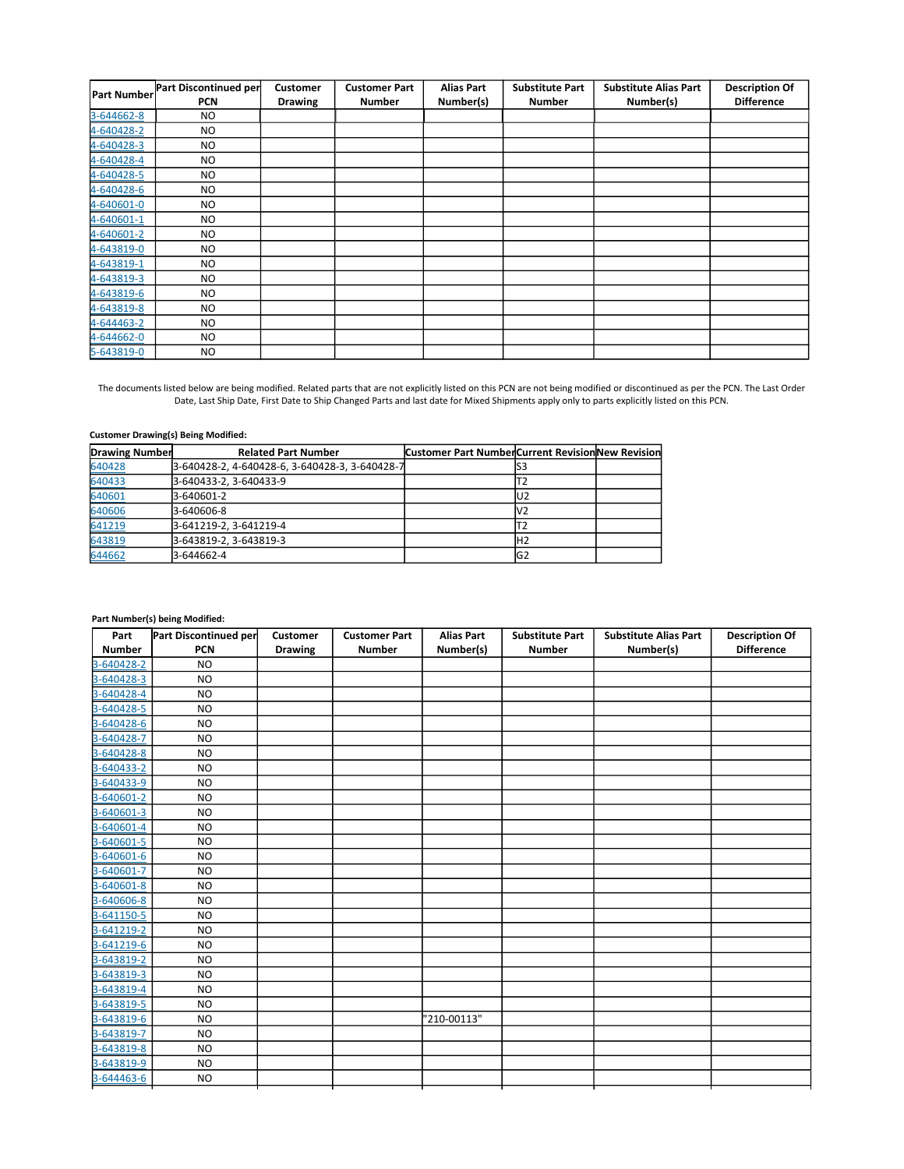| <b>Part Number</b> | Part Discontinued per<br><b>PCN</b> | Customer<br><b>Drawing</b> | <b>Customer Part</b><br><b>Number</b> | <b>Alias Part</b><br>Number(s) | <b>Substitute Part</b><br><b>Number</b> | <b>Substitute Alias Part</b><br>Number(s) | <b>Description Of</b><br><b>Difference</b> |
|--------------------|-------------------------------------|----------------------------|---------------------------------------|--------------------------------|-----------------------------------------|-------------------------------------------|--------------------------------------------|
| 3-644662-8         | NO.                                 |                            |                                       |                                |                                         |                                           |                                            |
| 4-640428-2         | NO.                                 |                            |                                       |                                |                                         |                                           |                                            |
| 4-640428-3         | NO.                                 |                            |                                       |                                |                                         |                                           |                                            |
| 4-640428-4         | NO.                                 |                            |                                       |                                |                                         |                                           |                                            |
| 4-640428-5         | NO.                                 |                            |                                       |                                |                                         |                                           |                                            |
| 4-640428-6         | NO.                                 |                            |                                       |                                |                                         |                                           |                                            |
| 4-640601-0         | NO.                                 |                            |                                       |                                |                                         |                                           |                                            |
| 4-640601-1         | NO.                                 |                            |                                       |                                |                                         |                                           |                                            |
| 4-640601-2         | NO.                                 |                            |                                       |                                |                                         |                                           |                                            |
| 4-643819-0         | NO.                                 |                            |                                       |                                |                                         |                                           |                                            |
| 4-643819-1         | NO.                                 |                            |                                       |                                |                                         |                                           |                                            |
| 4-643819-3         | NO.                                 |                            |                                       |                                |                                         |                                           |                                            |
| 4-643819-6         | NO.                                 |                            |                                       |                                |                                         |                                           |                                            |
| 4-643819-8         | NO.                                 |                            |                                       |                                |                                         |                                           |                                            |
| 4-644463-2         | NO.                                 |                            |                                       |                                |                                         |                                           |                                            |
| 4-644662-0         | NO.                                 |                            |                                       |                                |                                         |                                           |                                            |
| 5-643819-0         | NO.                                 |                            |                                       |                                |                                         |                                           |                                            |

## **Customer Drawing(s) Being Modified:**

| <b>Drawing Number</b> | <b>Related Part Number</b>                     | <b>Customer Part NumberCurrent Revision New Revision</b> |                |  |
|-----------------------|------------------------------------------------|----------------------------------------------------------|----------------|--|
| 640428                | 3-640428-2, 4-640428-6, 3-640428-3, 3-640428-7 |                                                          | ວວ             |  |
| 640433                | 3-640433-2, 3-640433-9                         |                                                          |                |  |
| 640601                | 3-640601-2                                     |                                                          | U2             |  |
| 640606                | 3-640606-8                                     |                                                          | IV2            |  |
| 641219                | 3-641219-2.3-641219-4                          |                                                          |                |  |
| 643819                | 3-643819-2.3-643819-3                          |                                                          | H2             |  |
| 644662                | 3-644662-4                                     |                                                          | G <sub>2</sub> |  |

| Part          | Part Discontinued per | Customer       | <b>Customer Part</b> | <b>Alias Part</b> | <b>Substitute Part</b> | <b>Substitute Alias Part</b> | <b>Description Of</b> |
|---------------|-----------------------|----------------|----------------------|-------------------|------------------------|------------------------------|-----------------------|
| <b>Number</b> | <b>PCN</b>            | <b>Drawing</b> | <b>Number</b>        | Number(s)         | <b>Number</b>          | Number(s)                    | <b>Difference</b>     |
| 3-640428-2    | <b>NO</b>             |                |                      |                   |                        |                              |                       |
| 3-640428-3    | N <sub>O</sub>        |                |                      |                   |                        |                              |                       |
| 3-640428-4    | <b>NO</b>             |                |                      |                   |                        |                              |                       |
| 3-640428-5    | <b>NO</b>             |                |                      |                   |                        |                              |                       |
| 3-640428-6    | <b>NO</b>             |                |                      |                   |                        |                              |                       |
| 3-640428-7    | <b>NO</b>             |                |                      |                   |                        |                              |                       |
| 3-640428-8    | <b>NO</b>             |                |                      |                   |                        |                              |                       |
| 3-640433-2    | <b>NO</b>             |                |                      |                   |                        |                              |                       |
| 3-640433-9    | <b>NO</b>             |                |                      |                   |                        |                              |                       |
| 3-640601-2    | <b>NO</b>             |                |                      |                   |                        |                              |                       |
| 3-640601-3    | <b>NO</b>             |                |                      |                   |                        |                              |                       |
| 3-640601-4    | <b>NO</b>             |                |                      |                   |                        |                              |                       |
| 3-640601-5    | <b>NO</b>             |                |                      |                   |                        |                              |                       |
| 3-640601-6    | <b>NO</b>             |                |                      |                   |                        |                              |                       |
| 3-640601-7    | <b>NO</b>             |                |                      |                   |                        |                              |                       |
| 3-640601-8    | <b>NO</b>             |                |                      |                   |                        |                              |                       |
| 3-640606-8    | <b>NO</b>             |                |                      |                   |                        |                              |                       |
| 3-641150-5    | <b>NO</b>             |                |                      |                   |                        |                              |                       |
| 3-641219-2    | <b>NO</b>             |                |                      |                   |                        |                              |                       |
| 3-641219-6    | <b>NO</b>             |                |                      |                   |                        |                              |                       |
| 3-643819-2    | <b>NO</b>             |                |                      |                   |                        |                              |                       |
| 3-643819-3    | <b>NO</b>             |                |                      |                   |                        |                              |                       |
| 3-643819-4    | <b>NO</b>             |                |                      |                   |                        |                              |                       |
| 3-643819-5    | <b>NO</b>             |                |                      |                   |                        |                              |                       |
| 3-643819-6    | <b>NO</b>             |                |                      | '210-00113"       |                        |                              |                       |
| 3-643819-7    | <b>NO</b>             |                |                      |                   |                        |                              |                       |
| 3-643819-8    | <b>NO</b>             |                |                      |                   |                        |                              |                       |
| 3-643819-9    | <b>NO</b>             |                |                      |                   |                        |                              |                       |
| 3-644463-6    | <b>NO</b>             |                |                      |                   |                        |                              |                       |
|               |                       |                |                      |                   |                        |                              |                       |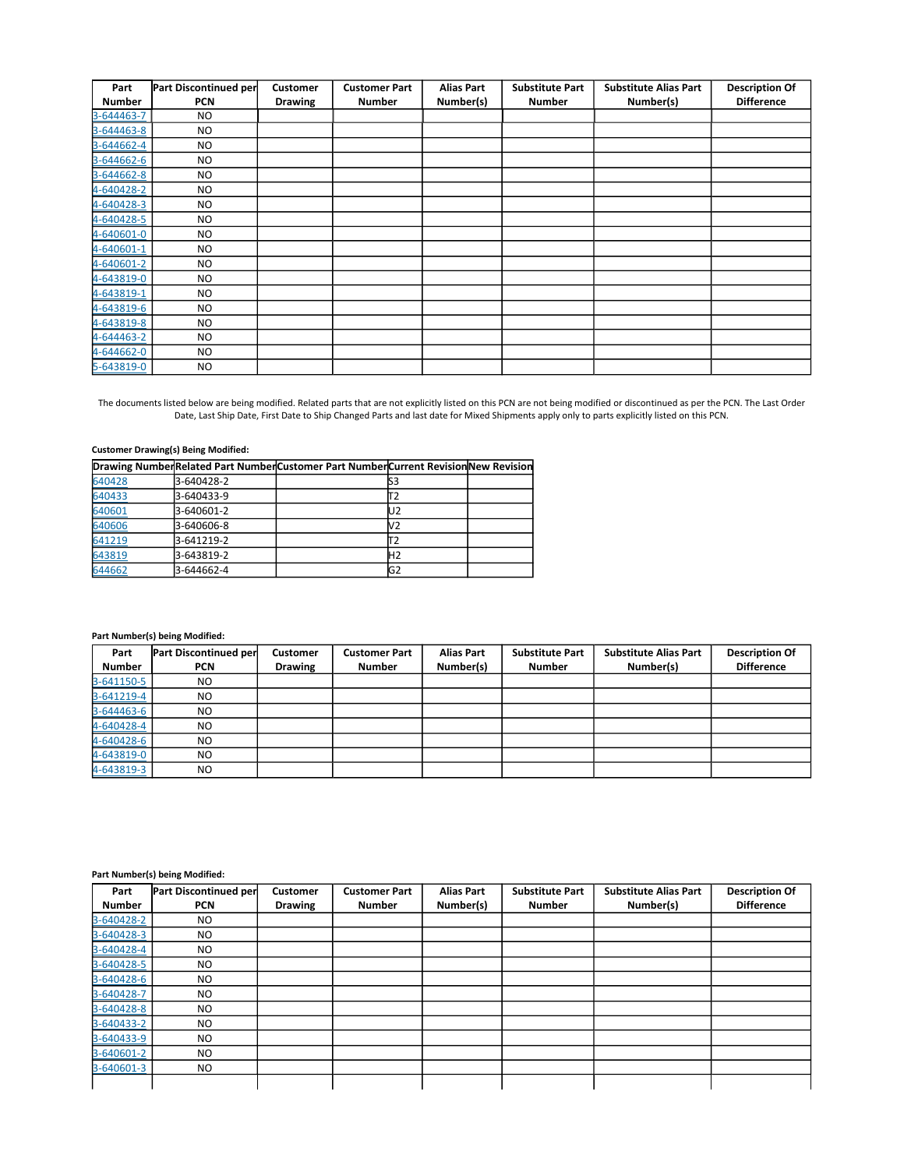| Part          | Part Discontinued per | <b>Customer</b> | <b>Customer Part</b> | <b>Alias Part</b> | <b>Substitute Part</b> | <b>Substitute Alias Part</b> | <b>Description Of</b> |
|---------------|-----------------------|-----------------|----------------------|-------------------|------------------------|------------------------------|-----------------------|
| <b>Number</b> | <b>PCN</b>            | <b>Drawing</b>  | <b>Number</b>        | Number(s)         | <b>Number</b>          | Number(s)                    | <b>Difference</b>     |
| 3-644463-7    | NO.                   |                 |                      |                   |                        |                              |                       |
| 3-644463-8    | <b>NO</b>             |                 |                      |                   |                        |                              |                       |
| 3-644662-4    | NO.                   |                 |                      |                   |                        |                              |                       |
| 3-644662-6    | <b>NO</b>             |                 |                      |                   |                        |                              |                       |
| 3-644662-8    | NO.                   |                 |                      |                   |                        |                              |                       |
| 4-640428-2    | <b>NO</b>             |                 |                      |                   |                        |                              |                       |
| 4-640428-3    | <b>NO</b>             |                 |                      |                   |                        |                              |                       |
| 4-640428-5    | <b>NO</b>             |                 |                      |                   |                        |                              |                       |
| 4-640601-0    | <b>NO</b>             |                 |                      |                   |                        |                              |                       |
| 4-640601-1    | <b>NO</b>             |                 |                      |                   |                        |                              |                       |
| 4-640601-2    | NO.                   |                 |                      |                   |                        |                              |                       |
| 4-643819-0    | <b>NO</b>             |                 |                      |                   |                        |                              |                       |
| 4-643819-1    | <b>NO</b>             |                 |                      |                   |                        |                              |                       |
| 4-643819-6    | <b>NO</b>             |                 |                      |                   |                        |                              |                       |
| 4-643819-8    | N <sub>O</sub>        |                 |                      |                   |                        |                              |                       |
| 4-644463-2    | N <sub>O</sub>        |                 |                      |                   |                        |                              |                       |
| 4-644662-0    | NO.                   |                 |                      |                   |                        |                              |                       |
| 5-643819-0    | NO.                   |                 |                      |                   |                        |                              |                       |

## **Customer Drawing(s) Being Modified:**

|        |            | Drawing NumberRelated Part NumberCustomer Part NumberCurrent Revision New Revision |                |  |
|--------|------------|------------------------------------------------------------------------------------|----------------|--|
| 640428 | 3-640428-2 |                                                                                    |                |  |
| 640433 | 3-640433-9 |                                                                                    |                |  |
| 640601 | 3-640601-2 |                                                                                    | U2             |  |
| 640606 | 3-640606-8 |                                                                                    | V2             |  |
| 641219 | 3-641219-2 |                                                                                    |                |  |
| 643819 | 3-643819-2 |                                                                                    | H2             |  |
| 644662 | 3-644662-4 |                                                                                    | G <sub>2</sub> |  |

### **Part Number(s) being Modified:**

| Part<br><b>Number</b> | Part Discontinued per<br><b>PCN</b> | <b>Customer</b><br><b>Drawing</b> | <b>Customer Part</b><br><b>Number</b> | <b>Alias Part</b><br>Number(s) | <b>Substitute Part</b><br><b>Number</b> | <b>Substitute Alias Part</b><br>Number(s) | <b>Description Of</b><br><b>Difference</b> |
|-----------------------|-------------------------------------|-----------------------------------|---------------------------------------|--------------------------------|-----------------------------------------|-------------------------------------------|--------------------------------------------|
| 3-641150-5            | NO.                                 |                                   |                                       |                                |                                         |                                           |                                            |
| 3-641219-4            | N <sub>O</sub>                      |                                   |                                       |                                |                                         |                                           |                                            |
| 3-644463-6            | NO.                                 |                                   |                                       |                                |                                         |                                           |                                            |
| 4-640428-4            | NO.                                 |                                   |                                       |                                |                                         |                                           |                                            |
| 4-640428-6            | NO                                  |                                   |                                       |                                |                                         |                                           |                                            |
| 4-643819-0            | NO                                  |                                   |                                       |                                |                                         |                                           |                                            |
| 4-643819-3            | NO.                                 |                                   |                                       |                                |                                         |                                           |                                            |

| Part<br><b>Number</b> | Part Discontinued per<br><b>PCN</b> | Customer<br><b>Drawing</b> | <b>Customer Part</b><br><b>Number</b> | <b>Alias Part</b><br>Number(s) | <b>Substitute Part</b><br><b>Number</b> | <b>Substitute Alias Part</b><br>Number(s) | <b>Description Of</b><br><b>Difference</b> |
|-----------------------|-------------------------------------|----------------------------|---------------------------------------|--------------------------------|-----------------------------------------|-------------------------------------------|--------------------------------------------|
|                       |                                     |                            |                                       |                                |                                         |                                           |                                            |
| 3-640428-2            | NO.                                 |                            |                                       |                                |                                         |                                           |                                            |
| 3-640428-3            | NO.                                 |                            |                                       |                                |                                         |                                           |                                            |
| 3-640428-4            | <b>NO</b>                           |                            |                                       |                                |                                         |                                           |                                            |
| 3-640428-5            | <b>NO</b>                           |                            |                                       |                                |                                         |                                           |                                            |
| 3-640428-6            | N <sub>O</sub>                      |                            |                                       |                                |                                         |                                           |                                            |
| 3-640428-7            | N <sub>O</sub>                      |                            |                                       |                                |                                         |                                           |                                            |
| 3-640428-8            | <b>NO</b>                           |                            |                                       |                                |                                         |                                           |                                            |
| 3-640433-2            | NO.                                 |                            |                                       |                                |                                         |                                           |                                            |
| 3-640433-9            | <b>NO</b>                           |                            |                                       |                                |                                         |                                           |                                            |
| 3-640601-2            | <b>NO</b>                           |                            |                                       |                                |                                         |                                           |                                            |
| 3-640601-3            | NO.                                 |                            |                                       |                                |                                         |                                           |                                            |
|                       |                                     |                            |                                       |                                |                                         |                                           |                                            |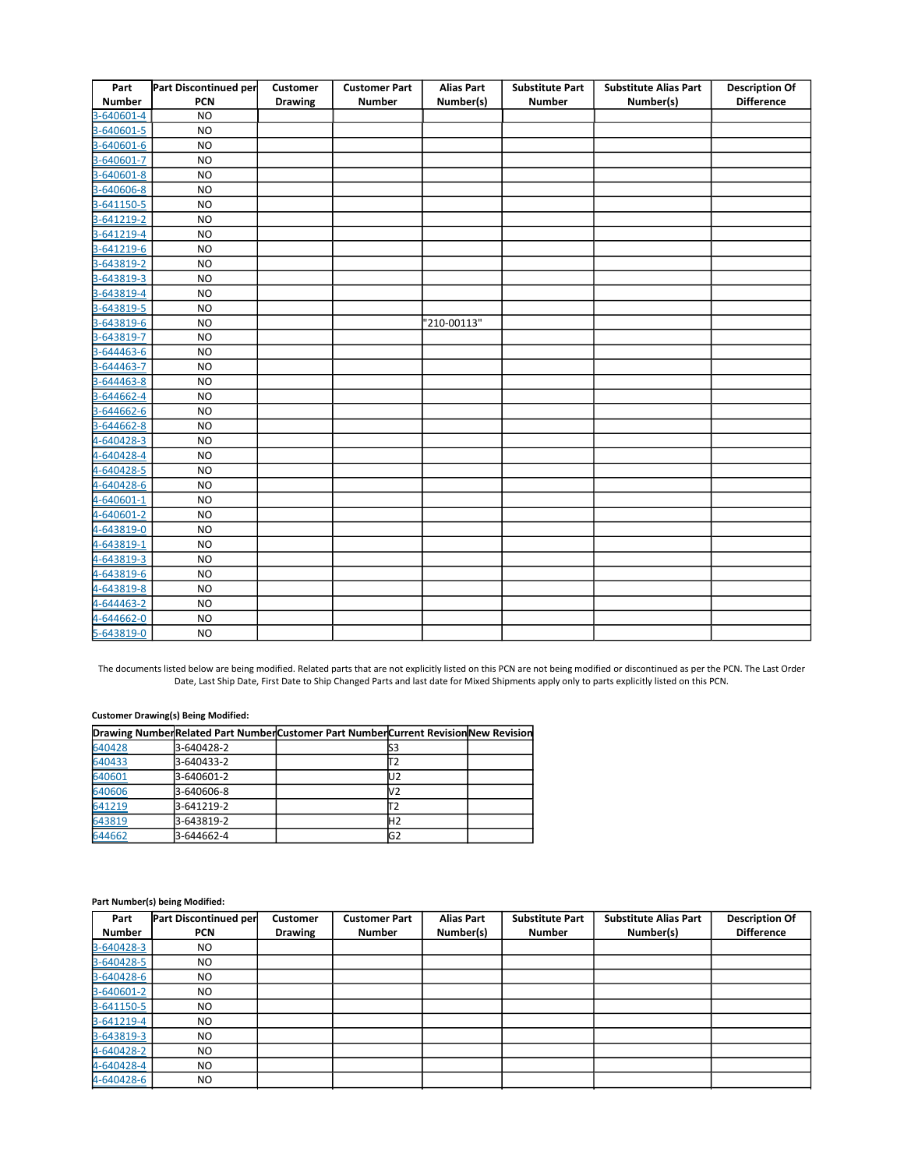| Part          | Part Discontinued per | Customer       | <b>Customer Part</b> | <b>Alias Part</b> | <b>Substitute Part</b> | <b>Substitute Alias Part</b> | <b>Description Of</b> |
|---------------|-----------------------|----------------|----------------------|-------------------|------------------------|------------------------------|-----------------------|
| <b>Number</b> | <b>PCN</b>            | <b>Drawing</b> | <b>Number</b>        | Number(s)         | <b>Number</b>          | Number(s)                    | <b>Difference</b>     |
| 3-640601-4    | <b>NO</b>             |                |                      |                   |                        |                              |                       |
| 3-640601-5    | <b>NO</b>             |                |                      |                   |                        |                              |                       |
| 3-640601-6    | <b>NO</b>             |                |                      |                   |                        |                              |                       |
| 3-640601-7    | <b>NO</b>             |                |                      |                   |                        |                              |                       |
| 3-640601-8    | <b>NO</b>             |                |                      |                   |                        |                              |                       |
| 3-640606-8    | <b>NO</b>             |                |                      |                   |                        |                              |                       |
| 3-641150-5    | <b>NO</b>             |                |                      |                   |                        |                              |                       |
| 3-641219-2    | <b>NO</b>             |                |                      |                   |                        |                              |                       |
| 3-641219-4    | <b>NO</b>             |                |                      |                   |                        |                              |                       |
| 3-641219-6    | <b>NO</b>             |                |                      |                   |                        |                              |                       |
| 3-643819-2    | <b>NO</b>             |                |                      |                   |                        |                              |                       |
| 3-643819-3    | <b>NO</b>             |                |                      |                   |                        |                              |                       |
| 3-643819-4    | <b>NO</b>             |                |                      |                   |                        |                              |                       |
| 3-643819-5    | <b>NO</b>             |                |                      |                   |                        |                              |                       |
| 3-643819-6    | <b>NO</b>             |                |                      | '210-00113"       |                        |                              |                       |
| 3-643819-7    | <b>NO</b>             |                |                      |                   |                        |                              |                       |
| 3-644463-6    | <b>NO</b>             |                |                      |                   |                        |                              |                       |
| 3-644463-7    | <b>NO</b>             |                |                      |                   |                        |                              |                       |
| 3-644463-8    | <b>NO</b>             |                |                      |                   |                        |                              |                       |
| 3-644662-4    | <b>NO</b>             |                |                      |                   |                        |                              |                       |
| 3-644662-6    | <b>NO</b>             |                |                      |                   |                        |                              |                       |
| 3-644662-8    | <b>NO</b>             |                |                      |                   |                        |                              |                       |
| 4-640428-3    | <b>NO</b>             |                |                      |                   |                        |                              |                       |
| 4-640428-4    | <b>NO</b>             |                |                      |                   |                        |                              |                       |
| 4-640428-5    | <b>NO</b>             |                |                      |                   |                        |                              |                       |
| 4-640428-6    | <b>NO</b>             |                |                      |                   |                        |                              |                       |
| 4-640601-1    | <b>NO</b>             |                |                      |                   |                        |                              |                       |
| 4-640601-2    | <b>NO</b>             |                |                      |                   |                        |                              |                       |
| 4-643819-0    | <b>NO</b>             |                |                      |                   |                        |                              |                       |
| 4-643819-1    | <b>NO</b>             |                |                      |                   |                        |                              |                       |
| 4-643819-3    | <b>NO</b>             |                |                      |                   |                        |                              |                       |
| 4-643819-6    | <b>NO</b>             |                |                      |                   |                        |                              |                       |
| 4-643819-8    | <b>NO</b>             |                |                      |                   |                        |                              |                       |
| 4-644463-2    | <b>NO</b>             |                |                      |                   |                        |                              |                       |
| 4-644662-0    | <b>NO</b>             |                |                      |                   |                        |                              |                       |
| 5-643819-0    | <b>NO</b>             |                |                      |                   |                        |                              |                       |

### **Customer Drawing(s) Being Modified:**

|        |            | Drawing NumberRelated Part NumberCustomer Part NumberCurrent Revision New Revision |                |  |
|--------|------------|------------------------------------------------------------------------------------|----------------|--|
| 640428 | 3-640428-2 |                                                                                    |                |  |
| 640433 | 3-640433-2 |                                                                                    |                |  |
| 640601 | 3-640601-2 |                                                                                    | U2             |  |
| 640606 | 3-640606-8 |                                                                                    |                |  |
| 641219 | 3-641219-2 |                                                                                    |                |  |
| 643819 | 3-643819-2 |                                                                                    | H <sub>2</sub> |  |
| 644662 | 3-644662-4 |                                                                                    | G2             |  |

| Part          | Part Discontinued per | Customer       | <b>Customer Part</b> | <b>Alias Part</b> | <b>Substitute Part</b> | <b>Substitute Alias Part</b> | <b>Description Of</b> |
|---------------|-----------------------|----------------|----------------------|-------------------|------------------------|------------------------------|-----------------------|
| <b>Number</b> | <b>PCN</b>            | <b>Drawing</b> | <b>Number</b>        | Number(s)         | <b>Number</b>          | Number(s)                    | <b>Difference</b>     |
| 3-640428-3    | NO.                   |                |                      |                   |                        |                              |                       |
| 3-640428-5    | NO.                   |                |                      |                   |                        |                              |                       |
| 3-640428-6    | <b>NO</b>             |                |                      |                   |                        |                              |                       |
| 3-640601-2    | <b>NO</b>             |                |                      |                   |                        |                              |                       |
| 3-641150-5    | N <sub>O</sub>        |                |                      |                   |                        |                              |                       |
| 3-641219-4    | N <sub>O</sub>        |                |                      |                   |                        |                              |                       |
| 3-643819-3    | N <sub>O</sub>        |                |                      |                   |                        |                              |                       |
| 4-640428-2    | NO.                   |                |                      |                   |                        |                              |                       |
| 4-640428-4    | NO.                   |                |                      |                   |                        |                              |                       |
| 4-640428-6    | NO.                   |                |                      |                   |                        |                              |                       |